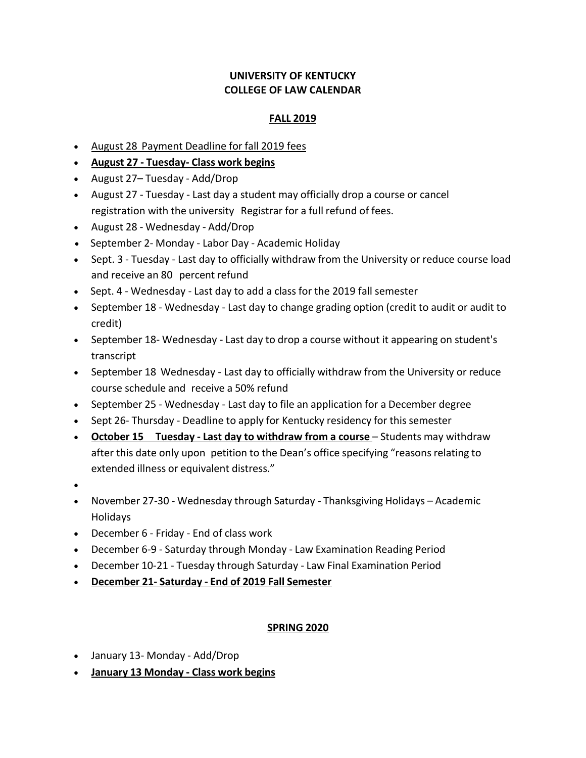## **UNIVERSITY OF KENTUCKY COLLEGE OF LAW CALENDAR**

## **FALL 2019**

- August 28 Payment Deadline for fall 2019 fees
- **August 27 - Tuesday- Class work begins**
- August 27– Tuesday Add/Drop
- August 27 Tuesday Last day a student may officially drop a course or cancel registration with the university Registrar for a full refund of fees.
- August 28 Wednesday Add/Drop
- September 2- Monday Labor Day Academic Holiday
- Sept. 3 Tuesday Last day to officially withdraw from the University or reduce course load and receive an 80 percent refund
- Sept. 4 Wednesday Last day to add a class for the 2019 fall semester
- September 18 Wednesday Last day to change grading option (credit to audit or audit to credit)
- September 18- Wednesday Last day to drop a course without it appearing on student's transcript
- September 18 Wednesday Last day to officially withdraw from the University or reduce course schedule and receive a 50% refund
- September 25 Wednesday Last day to file an application for a December degree
- Sept 26- Thursday Deadline to apply for Kentucky residency for this semester
- **October 15 Tuesday - Last day to withdraw from a course** Students may withdraw after this date only upon petition to the Dean's office specifying "reasons relating to extended illness or equivalent distress."
- $\bullet$
- November 27-30 Wednesday through Saturday Thanksgiving Holidays Academic Holidays
- December 6 Friday End of class work
- December 6-9 Saturday through Monday Law Examination Reading Period
- December 10-21 Tuesday through Saturday Law Final Examination Period
- **December 21- Saturday - End of 2019 Fall Semester**

## **SPRING 2020**

- January 13- Monday Add/Drop
- **January 13 Monday - Class work begins**